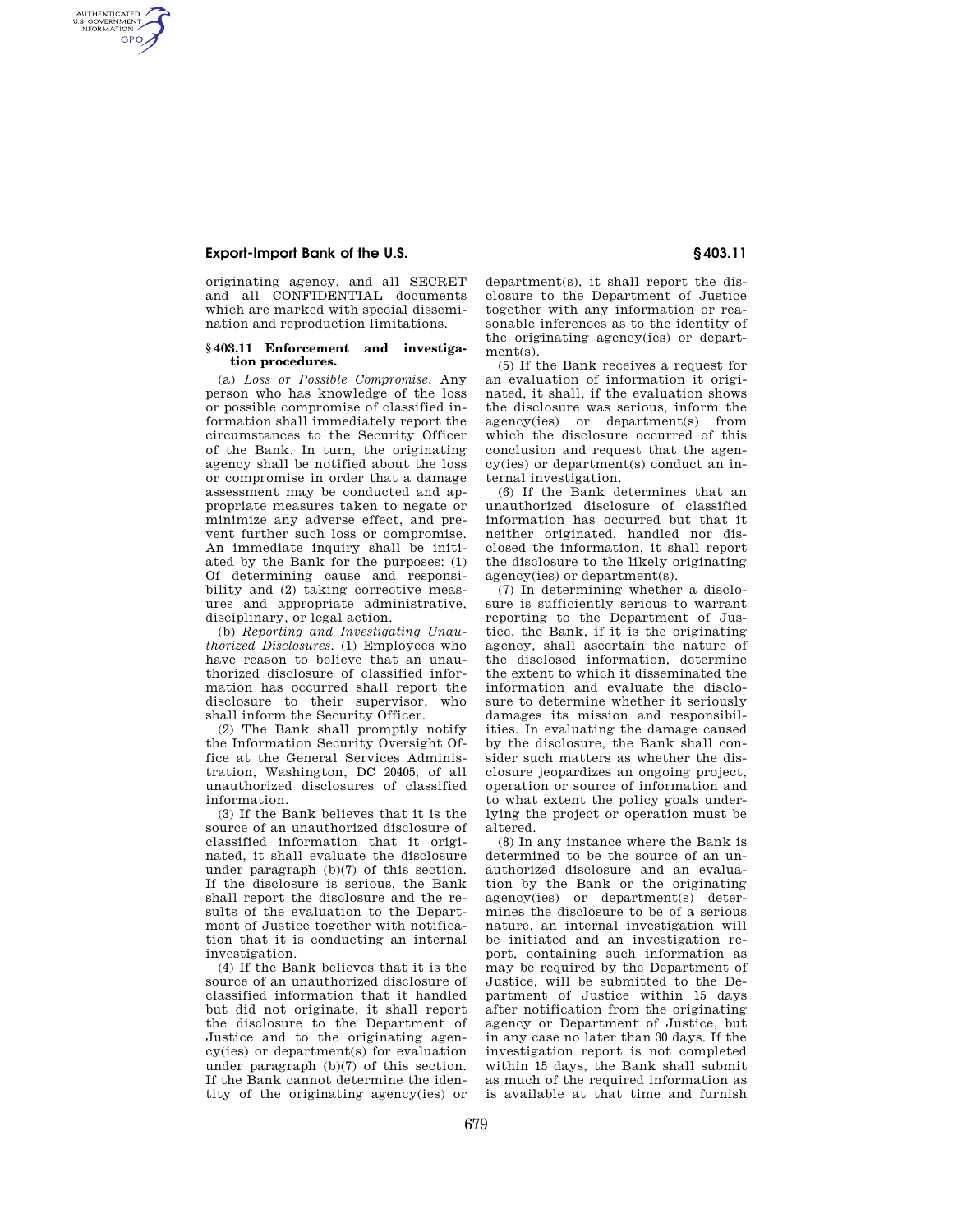# **Export-Import Bank of the U.S. § 403.11**

AUTHENTICATED<br>U.S. GOVERNMENT<br>INFORMATION **GPO** 

> originating agency, and all SECRET and all CONFIDENTIAL documents which are marked with special dissemination and reproduction limitations.

#### **§ 403.11 Enforcement and investigation procedures.**

(a) *Loss or Possible Compromise.* Any person who has knowledge of the loss or possible compromise of classified information shall immediately report the circumstances to the Security Officer of the Bank. In turn, the originating agency shall be notified about the loss or compromise in order that a damage assessment may be conducted and appropriate measures taken to negate or minimize any adverse effect, and prevent further such loss or compromise. An immediate inquiry shall be initiated by the Bank for the purposes: (1) Of determining cause and responsibility and (2) taking corrective measures and appropriate administrative, disciplinary, or legal action.

(b) *Reporting and Investigating Unauthorized Disclosures.* (1) Employees who have reason to believe that an unauthorized disclosure of classified information has occurred shall report the disclosure to their supervisor, who shall inform the Security Officer.

(2) The Bank shall promptly notify the Information Security Oversight Office at the General Services Administration, Washington, DC 20405, of all unauthorized disclosures of classified information.

(3) If the Bank believes that it is the source of an unauthorized disclosure of classified information that it originated, it shall evaluate the disclosure under paragraph (b)(7) of this section. If the disclosure is serious, the Bank shall report the disclosure and the results of the evaluation to the Department of Justice together with notification that it is conducting an internal investigation.

(4) If the Bank believes that it is the source of an unauthorized disclosure of classified information that it handled but did not originate, it shall report the disclosure to the Department of Justice and to the originating agency(ies) or department(s) for evaluation under paragraph (b)(7) of this section. If the Bank cannot determine the identity of the originating agency(ies) or

department(s), it shall report the disclosure to the Department of Justice together with any information or reasonable inferences as to the identity of the originating agency(ies) or department(s).

(5) If the Bank receives a request for an evaluation of information it originated, it shall, if the evaluation shows the disclosure was serious, inform the agency(ies) or department(s) from which the disclosure occurred of this conclusion and request that the agency(ies) or department(s) conduct an internal investigation.

(6) If the Bank determines that an unauthorized disclosure of classified information has occurred but that it neither originated, handled nor disclosed the information, it shall report the disclosure to the likely originating agency(ies) or department(s).

(7) In determining whether a disclosure is sufficiently serious to warrant reporting to the Department of Justice, the Bank, if it is the originating agency, shall ascertain the nature of the disclosed information, determine the extent to which it disseminated the information and evaluate the disclosure to determine whether it seriously damages its mission and responsibilities. In evaluating the damage caused by the disclosure, the Bank shall consider such matters as whether the disclosure jeopardizes an ongoing project, operation or source of information and to what extent the policy goals underlying the project or operation must be altered.

(8) In any instance where the Bank is determined to be the source of an unauthorized disclosure and an evaluation by the Bank or the originating agency(ies) or department(s) determines the disclosure to be of a serious nature, an internal investigation will be initiated and an investigation report, containing such information as may be required by the Department of Justice, will be submitted to the Department of Justice within 15 days after notification from the originating agency or Department of Justice, but in any case no later than 30 days. If the investigation report is not completed within 15 days, the Bank shall submit as much of the required information as is available at that time and furnish